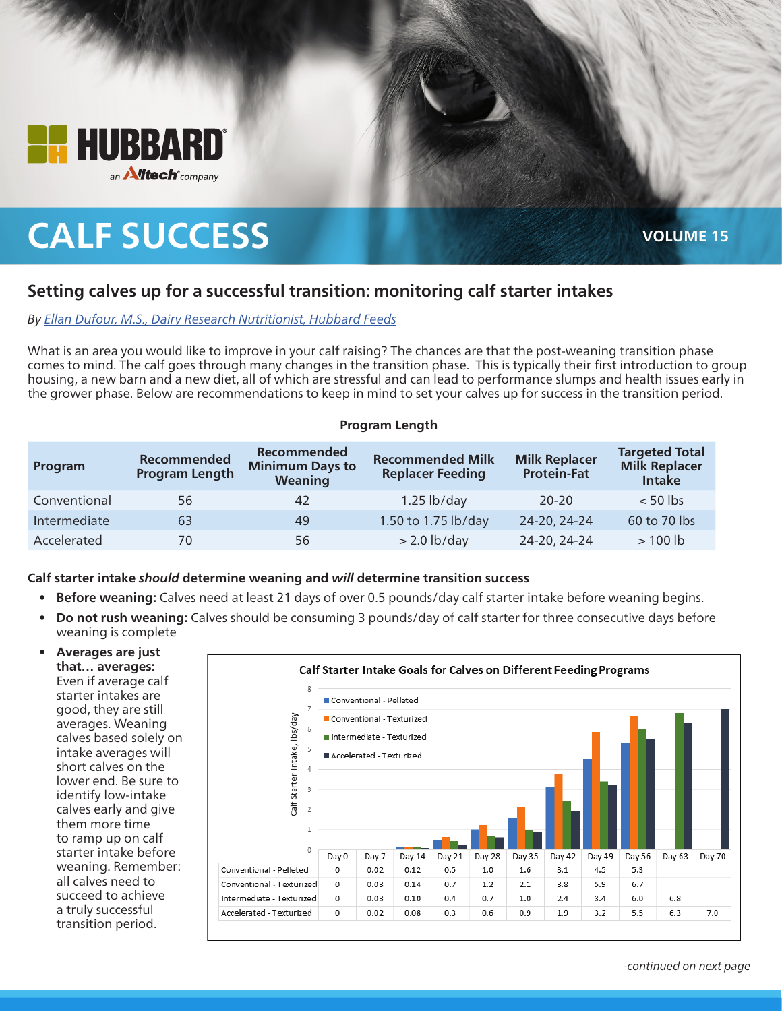

# **CALF SUCCESS VOLUME 15**

# **Setting calves up for a successful transition: monitoring calf starter intakes**

### *By [Ellan Dufour, M.S., Dairy Research Nutritionist, Hubbard Feeds](mailto:dairyteam%40hubbardfeeds.com?subject=)*

What is an area you would like to improve in your calf raising? The chances are that the post-weaning transition phase comes to mind. The calf goes through many changes in the transition phase. This is typically their first introduction to group housing, a new barn and a new diet, all of which are stressful and can lead to performance slumps and health issues early in the grower phase. Below are recommendations to keep in mind to set your calves up for success in the transition period.

#### **Program Length**

| Program      | Recommended<br><b>Program Length</b> | <b>Recommended</b><br><b>Minimum Days to</b><br>Weaning | <b>Recommended Milk</b><br><b>Replacer Feeding</b> | <b>Milk Replacer</b><br><b>Protein-Fat</b> | <b>Targeted Total</b><br><b>Milk Replacer</b><br><b>Intake</b> |
|--------------|--------------------------------------|---------------------------------------------------------|----------------------------------------------------|--------------------------------------------|----------------------------------------------------------------|
| Conventional | 56                                   | 42                                                      | $1.25$ lb/day                                      | $20 - 20$                                  | $< 50$ lbs                                                     |
| Intermediate | 63                                   | 49                                                      | 1.50 to 1.75 lb/day                                | 24-20, 24-24                               | 60 to 70 lbs                                                   |
| Accelerated  | 70                                   | 56                                                      | $> 2.0$ lb/day                                     | 24-20, 24-24                               | $>100$ lb                                                      |

#### **Calf starter intake** *should* **determine weaning and** *will* **determine transition success**

- **• Before weaning:** Calves need at least 21 days of over 0.5 pounds/day calf starter intake before weaning begins.
- **• Do not rush weaning:** Calves should be consuming 3 pounds/day of calf starter for three consecutive days before weaning is complete

**• Averages are just that… averages:**  Even if average calf starter intakes are good, they are still averages. Weaning calves based solely on intake averages will short calves on the lower end. Be sure to identify low-intake calves early and give them more time to ramp up on calf starter intake before weaning. Remember: all calves need to succeed to achieve a truly successful transition period.